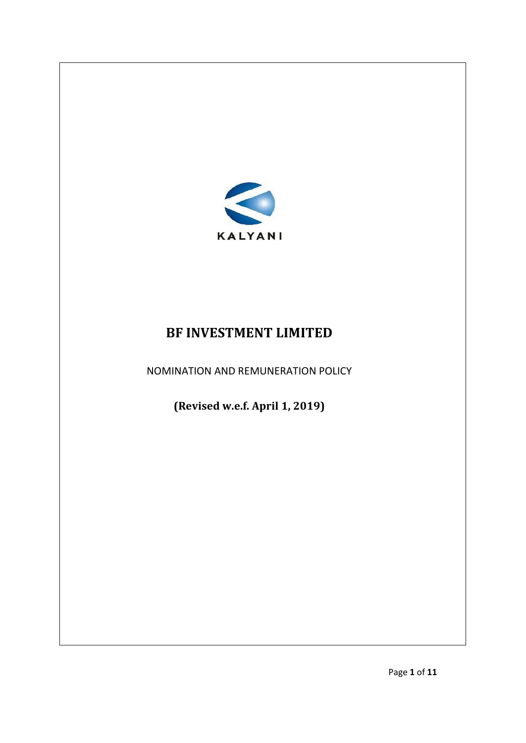

# **BF INVESTMENT LIMITED**

NOMINATION AND REMUNERATION POLICY

**(Revised w.e.f. April 1, 2019)**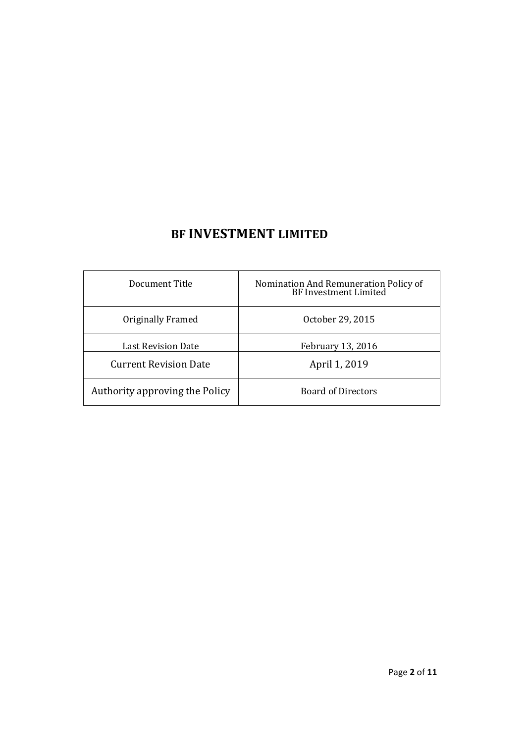# **BF INVESTMENT LIMITED**

| Document Title                 | Nomination And Remuneration Policy of<br>BF Investment Limited |
|--------------------------------|----------------------------------------------------------------|
| Originally Framed              | October 29, 2015                                               |
| Last Revision Date             | February 13, 2016                                              |
| <b>Current Revision Date</b>   | April 1, 2019                                                  |
| Authority approving the Policy | <b>Board of Directors</b>                                      |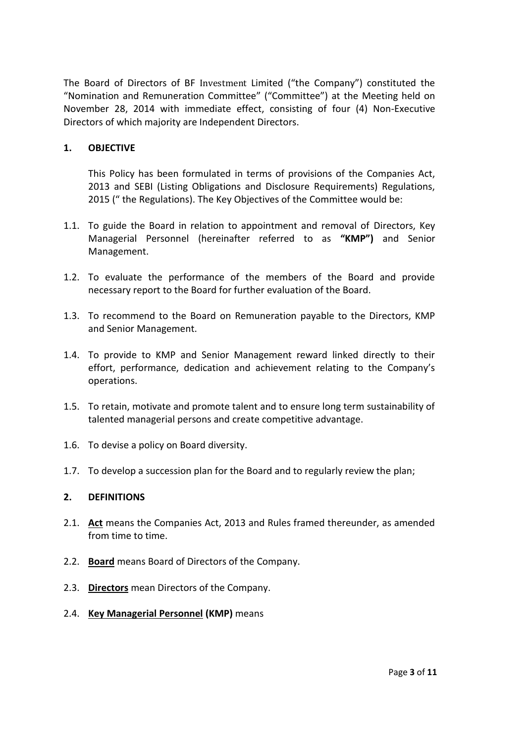The Board of Directors of BF Investment Limited ("the Company") constituted the "Nomination and Remuneration Committee" ("Committee") at the Meeting held on November 28, 2014 with immediate effect, consisting of four (4) Non-Executive Directors of which majority are Independent Directors.

## **1. OBJECTIVE**

This Policy has been formulated in terms of provisions of the Companies Act, 2013 and SEBI (Listing Obligations and Disclosure Requirements) Regulations, 2015 (" the Regulations). The Key Objectives of the Committee would be:

- 1.1. To guide the Board in relation to appointment and removal of Directors, Key Managerial Personnel (hereinafter referred to as **"KMP")** and Senior Management.
- 1.2. To evaluate the performance of the members of the Board and provide necessary report to the Board for further evaluation of the Board.
- 1.3. To recommend to the Board on Remuneration payable to the Directors, KMP and Senior Management.
- 1.4. To provide to KMP and Senior Management reward linked directly to their effort, performance, dedication and achievement relating to the Company's operations.
- 1.5. To retain, motivate and promote talent and to ensure long term sustainability of talented managerial persons and create competitive advantage.
- 1.6. To devise a policy on Board diversity.
- 1.7. To develop a succession plan for the Board and to regularly review the plan;

#### **2. DEFINITIONS**

- 2.1. **Act** means the Companies Act, 2013 and Rules framed thereunder, as amended from time to time.
- 2.2. **Board** means Board of Directors of the Company.
- 2.3. **Directors** mean Directors of the Company.
- 2.4. **Key Managerial Personnel (KMP)** means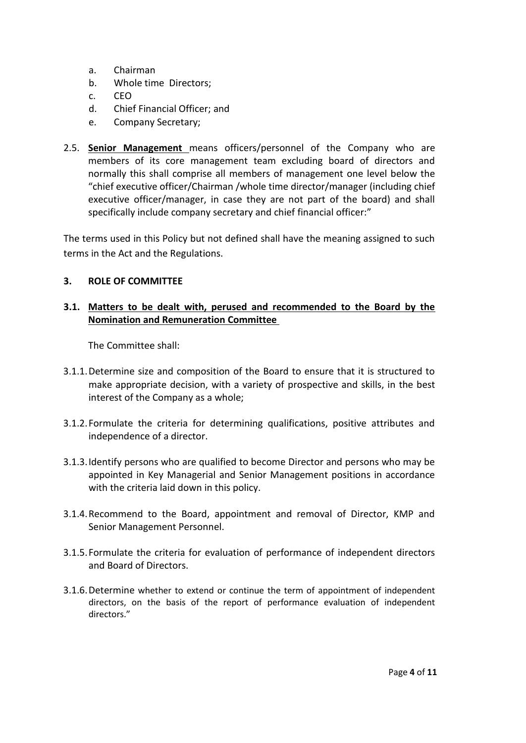- a. Chairman
- b. Whole time Directors;
- c. CEO
- d. Chief Financial Officer; and
- e. Company Secretary;
- 2.5. **Senior Management** means officers/personnel of the Company who are members of its core management team excluding board of directors and normally this shall comprise all members of management one level below the "chief executive officer/Chairman /whole time director/manager (including chief executive officer/manager, in case they are not part of the board) and shall specifically include company secretary and chief financial officer:"

The terms used in this Policy but not defined shall have the meaning assigned to such terms in the Act and the Regulations.

## **3. ROLE OF COMMITTEE**

## **3.1. Matters to be dealt with, perused and recommended to the Board by the Nomination and Remuneration Committee**

The Committee shall:

- 3.1.1.Determine size and composition of the Board to ensure that it is structured to make appropriate decision, with a variety of prospective and skills, in the best interest of the Company as a whole;
- 3.1.2.Formulate the criteria for determining qualifications, positive attributes and independence of a director.
- 3.1.3.Identify persons who are qualified to become Director and persons who may be appointed in Key Managerial and Senior Management positions in accordance with the criteria laid down in this policy.
- 3.1.4.Recommend to the Board, appointment and removal of Director, KMP and Senior Management Personnel.
- 3.1.5.Formulate the criteria for evaluation of performance of independent directors and Board of Directors.
- 3.1.6.Determine whether to extend or continue the term of appointment of independent directors, on the basis of the report of performance evaluation of independent directors."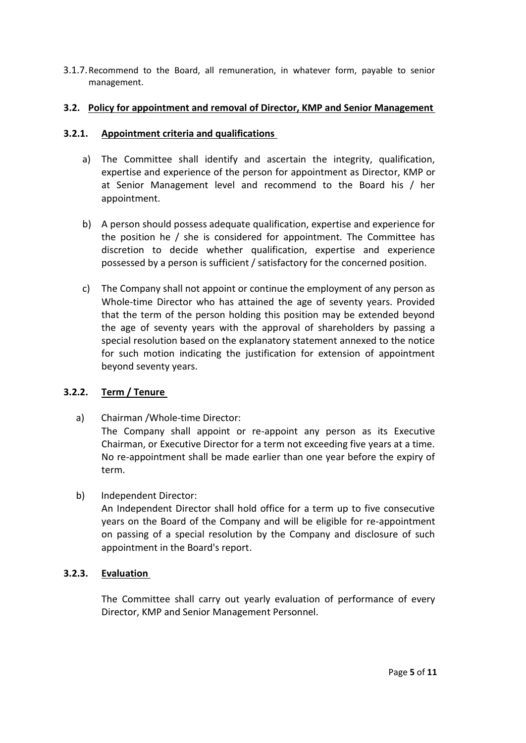3.1.7.Recommend to the Board, all remuneration, in whatever form, payable to senior management.

## **3.2. Policy for appointment and removal of Director, KMP and Senior Management**

## **3.2.1. Appointment criteria and qualifications**

- a) The Committee shall identify and ascertain the integrity, qualification, expertise and experience of the person for appointment as Director, KMP or at Senior Management level and recommend to the Board his / her appointment.
- b) A person should possess adequate qualification, expertise and experience for the position he / she is considered for appointment. The Committee has discretion to decide whether qualification, expertise and experience possessed by a person is sufficient / satisfactory for the concerned position.
- c) The Company shall not appoint or continue the employment of any person as Whole-time Director who has attained the age of seventy years. Provided that the term of the person holding this position may be extended beyond the age of seventy years with the approval of shareholders by passing a special resolution based on the explanatory statement annexed to the notice for such motion indicating the justification for extension of appointment beyond seventy years.

# **3.2.2. Term / Tenure**

a) Chairman /Whole-time Director: The Company shall appoint or re-appoint any person as its Executive Chairman, or Executive Director for a term not exceeding five years at a time. No re-appointment shall be made earlier than one year before the expiry of term.

# b) Independent Director:

An Independent Director shall hold office for a term up to five consecutive years on the Board of the Company and will be eligible for re-appointment on passing of a special resolution by the Company and disclosure of such appointment in the Board's report.

# **3.2.3. Evaluation**

The Committee shall carry out yearly evaluation of performance of every Director, KMP and Senior Management Personnel.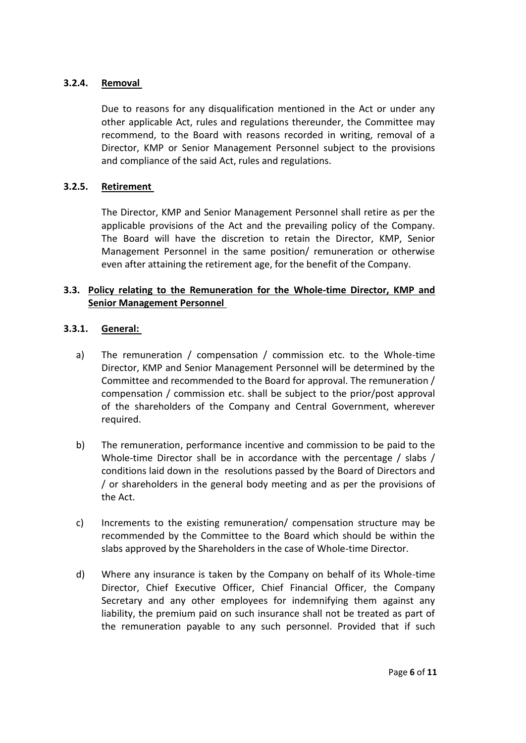## **3.2.4. Removal**

Due to reasons for any disqualification mentioned in the Act or under any other applicable Act, rules and regulations thereunder, the Committee may recommend, to the Board with reasons recorded in writing, removal of a Director, KMP or Senior Management Personnel subject to the provisions and compliance of the said Act, rules and regulations.

## **3.2.5. Retirement**

The Director, KMP and Senior Management Personnel shall retire as per the applicable provisions of the Act and the prevailing policy of the Company. The Board will have the discretion to retain the Director, KMP, Senior Management Personnel in the same position/ remuneration or otherwise even after attaining the retirement age, for the benefit of the Company.

## **3.3. Policy relating to the Remuneration for the Whole-time Director, KMP and Senior Management Personnel**

## **3.3.1. General:**

- a) The remuneration / compensation / commission etc. to the Whole-time Director, KMP and Senior Management Personnel will be determined by the Committee and recommended to the Board for approval. The remuneration / compensation / commission etc. shall be subject to the prior/post approval of the shareholders of the Company and Central Government, wherever required.
- b) The remuneration, performance incentive and commission to be paid to the Whole-time Director shall be in accordance with the percentage / slabs / conditions laid down in the resolutions passed by the Board of Directors and / or shareholders in the general body meeting and as per the provisions of the Act.
- c) Increments to the existing remuneration/ compensation structure may be recommended by the Committee to the Board which should be within the slabs approved by the Shareholders in the case of Whole-time Director.
- d) Where any insurance is taken by the Company on behalf of its Whole-time Director, Chief Executive Officer, Chief Financial Officer, the Company Secretary and any other employees for indemnifying them against any liability, the premium paid on such insurance shall not be treated as part of the remuneration payable to any such personnel. Provided that if such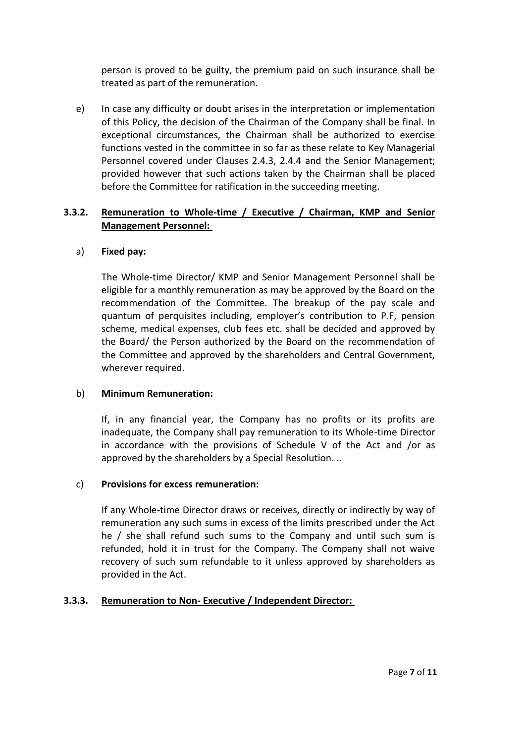person is proved to be guilty, the premium paid on such insurance shall be treated as part of the remuneration.

e) In case any difficulty or doubt arises in the interpretation or implementation of this Policy, the decision of the Chairman of the Company shall be final. In exceptional circumstances, the Chairman shall be authorized to exercise functions vested in the committee in so far as these relate to Key Managerial Personnel covered under Clauses 2.4.3, 2.4.4 and the Senior Management; provided however that such actions taken by the Chairman shall be placed before the Committee for ratification in the succeeding meeting.

## **3.3.2. Remuneration to Whole-time / Executive / Chairman, KMP and Senior Management Personnel:**

## a) **Fixed pay:**

The Whole-time Director/ KMP and Senior Management Personnel shall be eligible for a monthly remuneration as may be approved by the Board on the recommendation of the Committee. The breakup of the pay scale and quantum of perquisites including, employer's contribution to P.F, pension scheme, medical expenses, club fees etc. shall be decided and approved by the Board/ the Person authorized by the Board on the recommendation of the Committee and approved by the shareholders and Central Government, wherever required.

## b) **Minimum Remuneration:**

If, in any financial year, the Company has no profits or its profits are inadequate, the Company shall pay remuneration to its Whole-time Director in accordance with the provisions of Schedule V of the Act and /or as approved by the shareholders by a Special Resolution. ..

# c) **Provisions for excess remuneration:**

If any Whole-time Director draws or receives, directly or indirectly by way of remuneration any such sums in excess of the limits prescribed under the Act he / she shall refund such sums to the Company and until such sum is refunded, hold it in trust for the Company. The Company shall not waive recovery of such sum refundable to it unless approved by shareholders as provided in the Act.

# **3.3.3. Remuneration to Non- Executive / Independent Director:**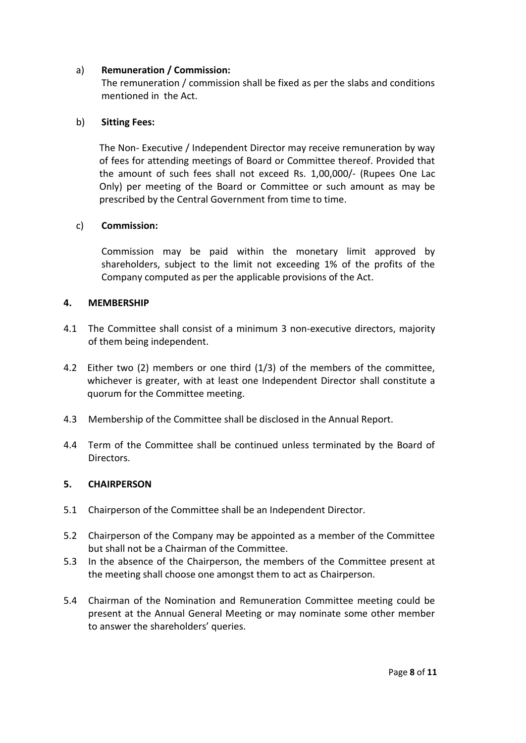## a) **Remuneration / Commission:**

The remuneration / commission shall be fixed as per the slabs and conditions mentioned in the Act.

## b) **Sitting Fees:**

The Non- Executive / Independent Director may receive remuneration by way of fees for attending meetings of Board or Committee thereof. Provided that the amount of such fees shall not exceed Rs. 1,00,000/- (Rupees One Lac Only) per meeting of the Board or Committee or such amount as may be prescribed by the Central Government from time to time.

## c) **Commission:**

Commission may be paid within the monetary limit approved by shareholders, subject to the limit not exceeding 1% of the profits of the Company computed as per the applicable provisions of the Act.

## **4. MEMBERSHIP**

- 4.1 The Committee shall consist of a minimum 3 non-executive directors, majority of them being independent.
- 4.2 Either two (2) members or one third (1/3) of the members of the committee, whichever is greater, with at least one Independent Director shall constitute a quorum for the Committee meeting.
- 4.3 Membership of the Committee shall be disclosed in the Annual Report.
- 4.4 Term of the Committee shall be continued unless terminated by the Board of Directors.

#### **5. CHAIRPERSON**

- 5.1 Chairperson of the Committee shall be an Independent Director.
- 5.2 Chairperson of the Company may be appointed as a member of the Committee but shall not be a Chairman of the Committee.
- 5.3 In the absence of the Chairperson, the members of the Committee present at the meeting shall choose one amongst them to act as Chairperson.
- 5.4 Chairman of the Nomination and Remuneration Committee meeting could be present at the Annual General Meeting or may nominate some other member to answer the shareholders' queries.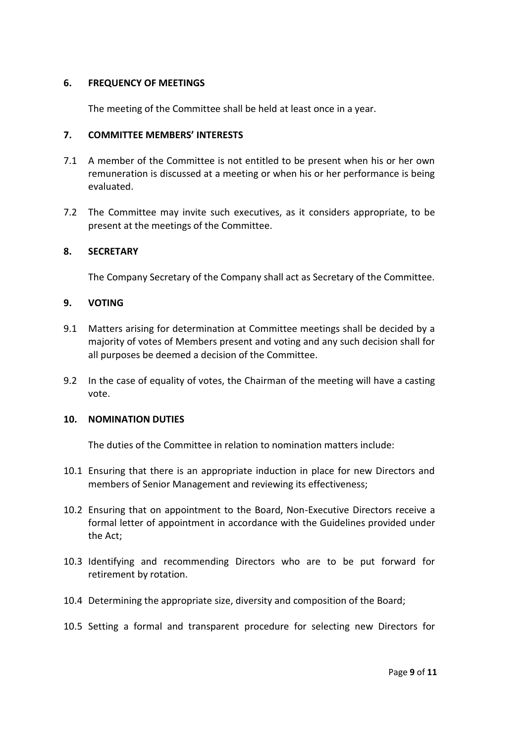#### **6. FREQUENCY OF MEETINGS**

The meeting of the Committee shall be held at least once in a year.

## **7. COMMITTEE MEMBERS' INTERESTS**

- 7.1 A member of the Committee is not entitled to be present when his or her own remuneration is discussed at a meeting or when his or her performance is being evaluated.
- 7.2 The Committee may invite such executives, as it considers appropriate, to be present at the meetings of the Committee.

## **8. SECRETARY**

The Company Secretary of the Company shall act as Secretary of the Committee.

## **9. VOTING**

- 9.1 Matters arising for determination at Committee meetings shall be decided by a majority of votes of Members present and voting and any such decision shall for all purposes be deemed a decision of the Committee.
- 9.2 In the case of equality of votes, the Chairman of the meeting will have a casting vote.

#### **10. NOMINATION DUTIES**

The duties of the Committee in relation to nomination matters include:

- 10.1 Ensuring that there is an appropriate induction in place for new Directors and members of Senior Management and reviewing its effectiveness;
- 10.2 Ensuring that on appointment to the Board, Non-Executive Directors receive a formal letter of appointment in accordance with the Guidelines provided under the Act;
- 10.3 Identifying and recommending Directors who are to be put forward for retirement by rotation.
- 10.4 Determining the appropriate size, diversity and composition of the Board;
- 10.5 Setting a formal and transparent procedure for selecting new Directors for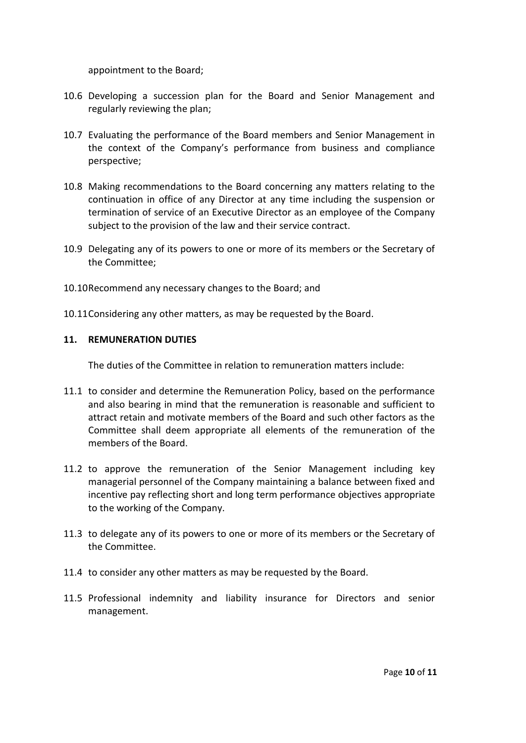appointment to the Board;

- 10.6 Developing a succession plan for the Board and Senior Management and regularly reviewing the plan;
- 10.7 Evaluating the performance of the Board members and Senior Management in the context of the Company's performance from business and compliance perspective;
- 10.8 Making recommendations to the Board concerning any matters relating to the continuation in office of any Director at any time including the suspension or termination of service of an Executive Director as an employee of the Company subject to the provision of the law and their service contract.
- 10.9 Delegating any of its powers to one or more of its members or the Secretary of the Committee;
- 10.10Recommend any necessary changes to the Board; and
- 10.11Considering any other matters, as may be requested by the Board.

## **11. REMUNERATION DUTIES**

The duties of the Committee in relation to remuneration matters include:

- 11.1 to consider and determine the Remuneration Policy, based on the performance and also bearing in mind that the remuneration is reasonable and sufficient to attract retain and motivate members of the Board and such other factors as the Committee shall deem appropriate all elements of the remuneration of the members of the Board.
- 11.2 to approve the remuneration of the Senior Management including key managerial personnel of the Company maintaining a balance between fixed and incentive pay reflecting short and long term performance objectives appropriate to the working of the Company.
- 11.3 to delegate any of its powers to one or more of its members or the Secretary of the Committee.
- 11.4 to consider any other matters as may be requested by the Board.
- 11.5 Professional indemnity and liability insurance for Directors and senior management.